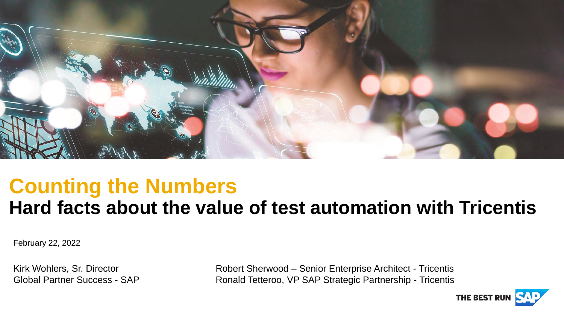

### **Counting the Numbers Hard facts about the value of test automation with Tricentis**

February 22, 2022

Kirk Wohlers, Sr. Director Global Partner Success - SAP Robert Sherwood – Senior Enterprise Architect - Tricentis Ronald Tetteroo, VP SAP Strategic Partnership - Tricentis

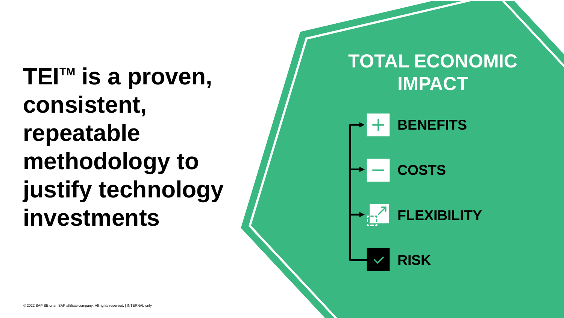**TEITM is a proven, consistent, repeatable methodology to justify technology investments**

## **TOTAL ECONOMIC BENEFITS IMPACT**

**COSTS**



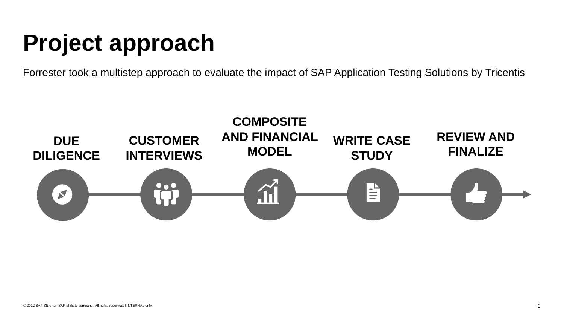## **Project approach**

Forrester took a multistep approach to evaluate the impact of SAP Application Testing Solutions by Tricentis

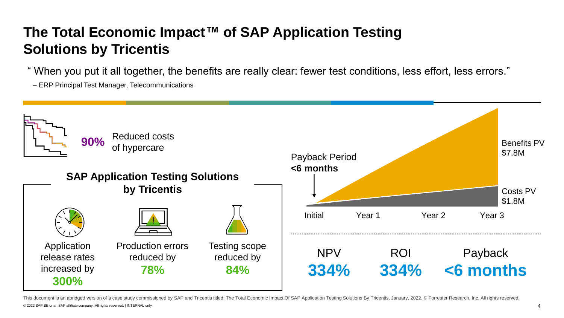#### **The Total Economic Impact™ of SAP Application Testing Solutions by Tricentis**

" When you put it all together, the benefits are really clear: fewer test conditions, less effort, less errors."

– ERP Principal Test Manager, Telecommunications



This document is an abridged version of a case study commissioned by SAP and Tricentis titled: The Total Economic Impact Of SAP Application Testing Solutions By Tricentis, January, 2022. © Forrester Research, Inc. All righ

© 2022 SAP SE or an SAP affiliate company. All rights reserved. | INTERNAL only 4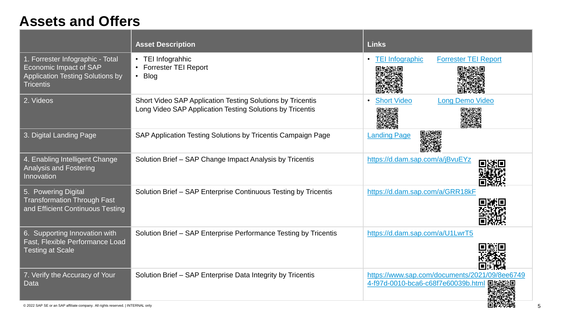#### **Assets and Offers**

|                                                                                                                           | <b>Asset Description</b>                                                                                                | <b>Links</b>                                                                            |
|---------------------------------------------------------------------------------------------------------------------------|-------------------------------------------------------------------------------------------------------------------------|-----------------------------------------------------------------------------------------|
| 1. Forrester Infographic - Total<br>Economic Impact of SAP<br><b>Application Testing Solutions by</b><br><b>Tricentis</b> | • TEI Infograhhic<br>• Forrester TEI Report<br>• Blog                                                                   | • TEI Infographic<br><b>Forrester TEI Report</b>                                        |
| 2. Videos                                                                                                                 | Short Video SAP Application Testing Solutions by Tricentis<br>Long Video SAP Application Testing Solutions by Tricentis | <b>Short Video</b><br><b>Long Demo Video</b>                                            |
| 3. Digital Landing Page                                                                                                   | SAP Application Testing Solutions by Tricentis Campaign Page                                                            | <b>Landing Page</b>                                                                     |
| 4. Enabling Intelligent Change<br>Analysis and Fostering<br>Innovation                                                    | Solution Brief - SAP Change Impact Analysis by Tricentis                                                                | https://d.dam.sap.com/a/jBvuEYz                                                         |
| 5. Powering Digital<br><b>Transformation Through Fast</b><br>and Efficient Continuous Testing                             | Solution Brief - SAP Enterprise Continuous Testing by Tricentis                                                         | https://d.dam.sap.com/a/GRR18kF                                                         |
| 6. Supporting Innovation with<br>Fast, Flexible Performance Load<br><b>Testing at Scale</b>                               | Solution Brief - SAP Enterprise Performance Testing by Tricentis                                                        | https://d.dam.sap.com/a/U1LwrT5                                                         |
| 7. Verify the Accuracy of Your<br>Data                                                                                    | Solution Brief - SAP Enterprise Data Integrity by Tricentis                                                             | https://www.sap.com/documents/2021/09/8ee6749<br>4-f97d-0010-bca6-c68f7e60039b.html 回标器 |
| © 2022 SAP SE or an SAP affiliate company. All rights reserved.   INTERNAL only                                           |                                                                                                                         |                                                                                         |